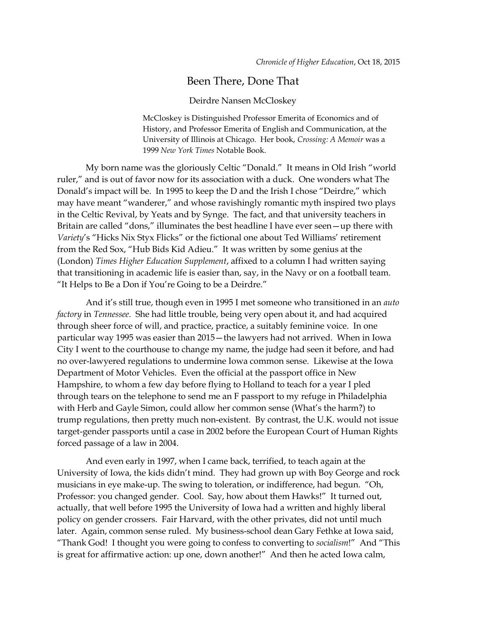## Been There, Done That

## Deirdre Nansen McCloskey

McCloskey is Distinguished Professor Emerita of Economics and of History, and Professor Emerita of English and Communication, at the University of Illinois at Chicago. Her book, *Crossing: A Memoir* was a 1999 *New York Times* Notable Book.

My born name was the gloriously Celtic "Donald." It means in Old Irish "world ruler," and is out of favor now for its association with a duck. One wonders what The Donald's impact will be. In 1995 to keep the D and the Irish I chose "Deirdre," which may have meant "wanderer," and whose ravishingly romantic myth inspired two plays in the Celtic Revival, by Yeats and by Synge. The fact, and that university teachers in Britain are called "dons," illuminates the best headline I have ever seen—up there with *Variety*'s "Hicks Nix Styx Flicks" or the fictional one about Ted Williams' retirement from the Red Sox, "Hub Bids Kid Adieu." It was written by some genius at the (London) *Times Higher Education Supplement*, affixed to a column I had written saying that transitioning in academic life is easier than, say, in the Navy or on a football team. "It Helps to Be a Don if You're Going to be a Deirdre."

And it's still true, though even in 1995 I met someone who transitioned in an *auto factory* in *Tennessee*. She had little trouble, being very open about it, and had acquired through sheer force of will, and practice, practice, a suitably feminine voice. In one particular way 1995 was easier than 2015—the lawyers had not arrived. When in Iowa City I went to the courthouse to change my name, the judge had seen it before, and had no over-lawyered regulations to undermine Iowa common sense. Likewise at the Iowa Department of Motor Vehicles. Even the official at the passport office in New Hampshire, to whom a few day before flying to Holland to teach for a year I pled through tears on the telephone to send me an F passport to my refuge in Philadelphia with Herb and Gayle Simon, could allow her common sense (What's the harm?) to trump regulations, then pretty much non-existent. By contrast, the U.K. would not issue target-gender passports until a case in 2002 before the European Court of Human Rights forced passage of a law in 2004.

And even early in 1997, when I came back, terrified, to teach again at the University of Iowa, the kids didn't mind. They had grown up with Boy George and rock musicians in eye make-up. The swing to toleration, or indifference, had begun. "Oh, Professor: you changed gender. Cool. Say, how about them Hawks!" It turned out, actually, that well before 1995 the University of Iowa had a written and highly liberal policy on gender crossers. Fair Harvard, with the other privates, did not until much later. Again, common sense ruled. My business-school dean Gary Fethke at Iowa said, "Thank God! I thought you were going to confess to converting to *socialism*!" And "This is great for affirmative action: up one, down another!" And then he acted Iowa calm,